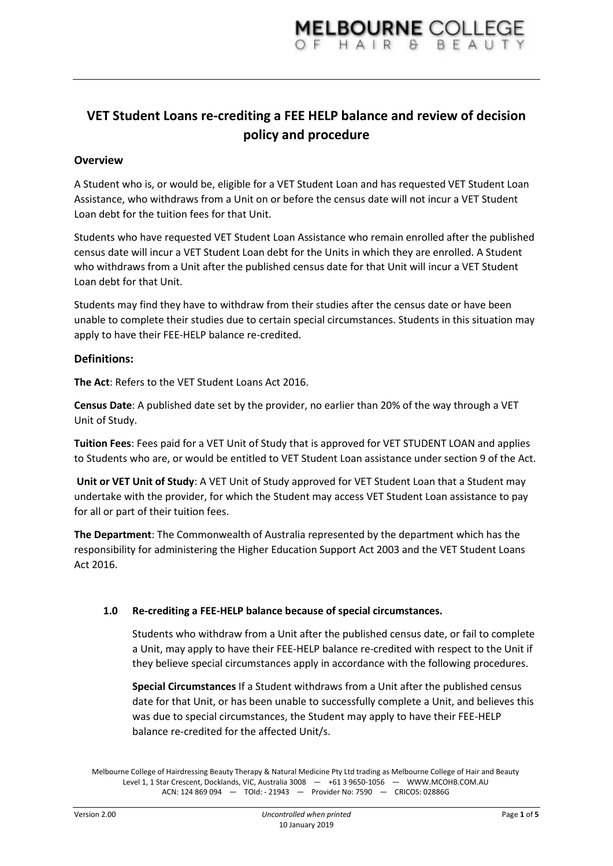# **VET Student Loans re-crediting a FEE HELP balance and review of decision policy and procedure**

## **Overview**

A Student who is, or would be, eligible for a VET Student Loan and has requested VET Student Loan Assistance, who withdraws from a Unit on or before the census date will not incur a VET Student Loan debt for the tuition fees for that Unit.

Students who have requested VET Student Loan Assistance who remain enrolled after the published census date will incur a VET Student Loan debt for the Units in which they are enrolled. A Student who withdraws from a Unit after the published census date for that Unit will incur a VET Student Loan debt for that Unit.

Students may find they have to withdraw from their studies after the census date or have been unable to complete their studies due to certain special circumstances. Students in this situation may apply to have their FEE-HELP balance re-credited.

### **Definitions:**

**The Act**: Refers to the VET Student Loans Act 2016.

**Census Date**: A published date set by the provider, no earlier than 20% of the way through a VET Unit of Study.

**Tuition Fees**: Fees paid for a VET Unit of Study that is approved for VET STUDENT LOAN and applies to Students who are, or would be entitled to VET Student Loan assistance under section 9 of the Act.

**Unit or VET Unit of Study**: A VET Unit of Study approved for VET Student Loan that a Student may undertake with the provider, for which the Student may access VET Student Loan assistance to pay for all or part of their tuition fees.

**The Department**: The Commonwealth of Australia represented by the department which has the responsibility for administering the Higher Education Support Act 2003 and the VET Student Loans Act 2016.

#### **1.0 Re-crediting a FEE-HELP balance because of special circumstances.**

Students who withdraw from a Unit after the published census date, or fail to complete a Unit, may apply to have their FEE-HELP balance re-credited with respect to the Unit if they believe special circumstances apply in accordance with the following procedures.

**Special Circumstances** If a Student withdraws from a Unit after the published census date for that Unit, or has been unable to successfully complete a Unit, and believes this was due to special circumstances, the Student may apply to have their FEE-HELP balance re-credited for the affected Unit/s.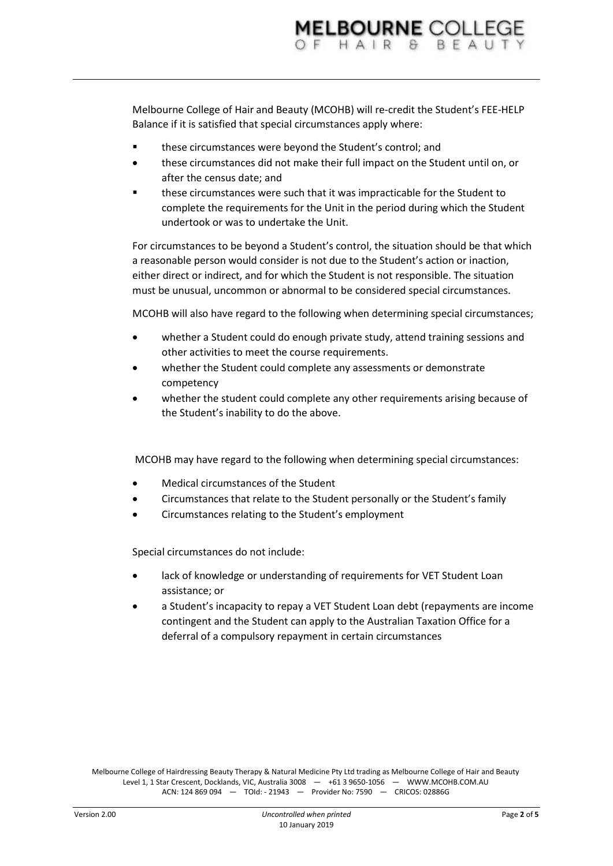Melbourne College of Hair and Beauty (MCOHB) will re-credit the Student's FEE-HELP Balance if it is satisfied that special circumstances apply where:

- **these circumstances were beyond the Student's control; and**
- these circumstances did not make their full impact on the Student until on, or after the census date; and
- these circumstances were such that it was impracticable for the Student to complete the requirements for the Unit in the period during which the Student undertook or was to undertake the Unit.

For circumstances to be beyond a Student's control, the situation should be that which a reasonable person would consider is not due to the Student's action or inaction, either direct or indirect, and for which the Student is not responsible. The situation must be unusual, uncommon or abnormal to be considered special circumstances.

MCOHB will also have regard to the following when determining special circumstances;

- whether a Student could do enough private study, attend training sessions and other activities to meet the course requirements.
- whether the Student could complete any assessments or demonstrate competency
- whether the student could complete any other requirements arising because of the Student's inability to do the above.

MCOHB may have regard to the following when determining special circumstances:

- Medical circumstances of the Student
- Circumstances that relate to the Student personally or the Student's family
- Circumstances relating to the Student's employment

Special circumstances do not include:

- lack of knowledge or understanding of requirements for VET Student Loan assistance; or
- a Student's incapacity to repay a VET Student Loan debt (repayments are income contingent and the Student can apply to the Australian Taxation Office for a deferral of a compulsory repayment in certain circumstances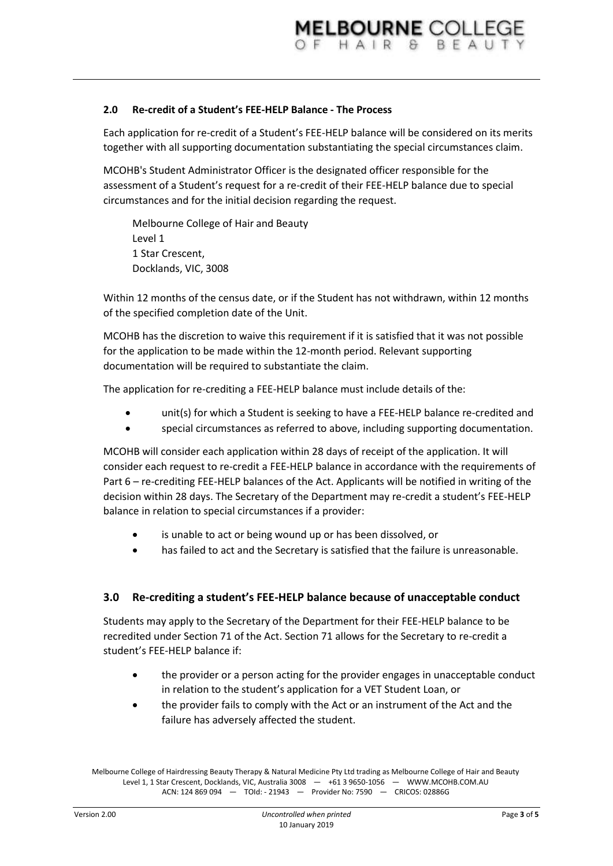### **2.0 Re-credit of a Student's FEE-HELP Balance - The Process**

Each application for re-credit of a Student's FEE-HELP balance will be considered on its merits together with all supporting documentation substantiating the special circumstances claim.

MCOHB's Student Administrator Officer is the designated officer responsible for the assessment of a Student's request for a re-credit of their FEE-HELP balance due to special circumstances and for the initial decision regarding the request.

Melbourne College of Hair and Beauty Level 1 1 Star Crescent, Docklands, VIC, 3008

Within 12 months of the census date, or if the Student has not withdrawn, within 12 months of the specified completion date of the Unit.

MCOHB has the discretion to waive this requirement if it is satisfied that it was not possible for the application to be made within the 12-month period. Relevant supporting documentation will be required to substantiate the claim.

The application for re-crediting a FEE-HELP balance must include details of the:

- unit(s) for which a Student is seeking to have a FEE-HELP balance re-credited and
- special circumstances as referred to above, including supporting documentation.

MCOHB will consider each application within 28 days of receipt of the application. It will consider each request to re-credit a FEE-HELP balance in accordance with the requirements of Part 6 – re-crediting FEE-HELP balances of the Act. Applicants will be notified in writing of the decision within 28 days. The Secretary of the Department may re-credit a student's FEE-HELP balance in relation to special circumstances if a provider:

- is unable to act or being wound up or has been dissolved, or
- has failed to act and the Secretary is satisfied that the failure is unreasonable.

#### **3.0 Re-crediting a student's FEE-HELP balance because of unacceptable conduct**

Students may apply to the Secretary of the Department for their FEE-HELP balance to be recredited under Section 71 of the Act. Section 71 allows for the Secretary to re-credit a student's FEE-HELP balance if:

- the provider or a person acting for the provider engages in unacceptable conduct in relation to the student's application for a VET Student Loan, or
- the provider fails to comply with the Act or an instrument of the Act and the failure has adversely affected the student.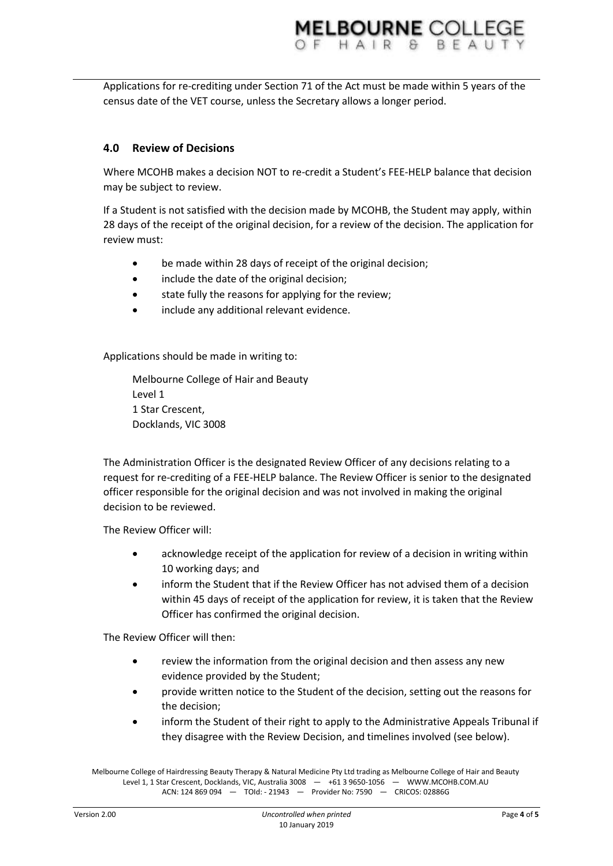**MELBOURNE COLLED** 

census date of the VET course, unless the Secretary allows a longer period.

# **4.0 Review of Decisions**

Where MCOHB makes a decision NOT to re-credit a Student's FEE-HELP balance that decision may be subject to review.

If a Student is not satisfied with the decision made by MCOHB, the Student may apply, within 28 days of the receipt of the original decision, for a review of the decision. The application for review must:

- be made within 28 days of receipt of the original decision;
- include the date of the original decision;
- **•** state fully the reasons for applying for the review;
- include any additional relevant evidence.

Applications should be made in writing to:

Melbourne College of Hair and Beauty Level 1 1 Star Crescent, Docklands, VIC 3008

The Administration Officer is the designated Review Officer of any decisions relating to a request for re-crediting of a FEE-HELP balance. The Review Officer is senior to the designated officer responsible for the original decision and was not involved in making the original decision to be reviewed.

The Review Officer will:

- acknowledge receipt of the application for review of a decision in writing within 10 working days; and
- inform the Student that if the Review Officer has not advised them of a decision within 45 days of receipt of the application for review, it is taken that the Review Officer has confirmed the original decision.

The Review Officer will then:

- review the information from the original decision and then assess any new evidence provided by the Student;
- provide written notice to the Student of the decision, setting out the reasons for the decision;
- inform the Student of their right to apply to the Administrative Appeals Tribunal if they disagree with the Review Decision, and timelines involved (see below).